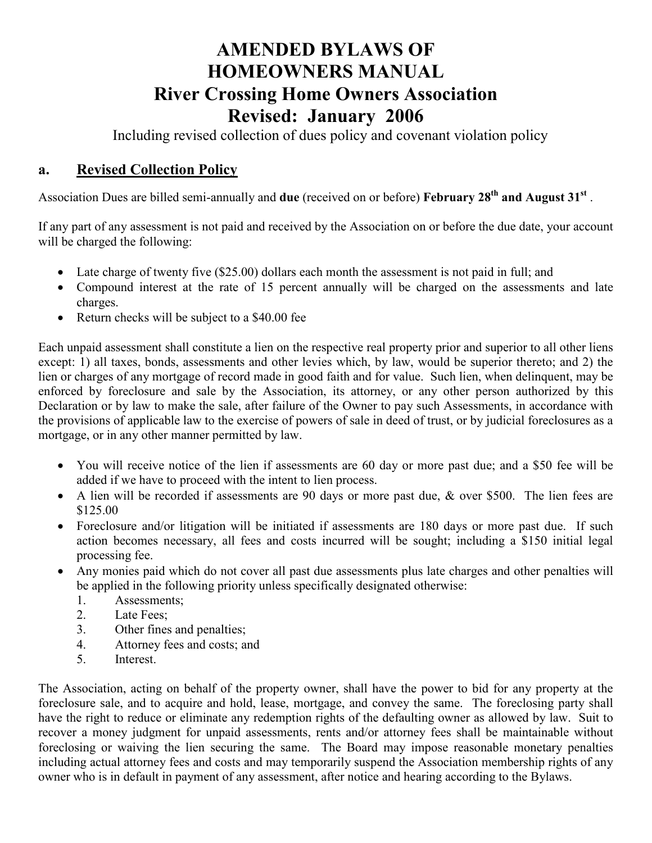## AMENDED BYLAWS OF HOMEOWNERS MANUAL River Crossing Home Owners Association Revised: January 2006

Including revised collection of dues policy and covenant violation policy

## a. Revised Collection Policy

Association Dues are billed semi-annually and due (received on or before) February 28<sup>th</sup> and August 31<sup>st</sup>.

If any part of any assessment is not paid and received by the Association on or before the due date, your account will be charged the following:

- Late charge of twenty five (\$25.00) dollars each month the assessment is not paid in full; and
- Compound interest at the rate of 15 percent annually will be charged on the assessments and late charges.
- Return checks will be subject to a \$40.00 fee

Each unpaid assessment shall constitute a lien on the respective real property prior and superior to all other liens except: 1) all taxes, bonds, assessments and other levies which, by law, would be superior thereto; and 2) the lien or charges of any mortgage of record made in good faith and for value. Such lien, when delinquent, may be enforced by foreclosure and sale by the Association, its attorney, or any other person authorized by this Declaration or by law to make the sale, after failure of the Owner to pay such Assessments, in accordance with the provisions of applicable law to the exercise of powers of sale in deed of trust, or by judicial foreclosures as a mortgage, or in any other manner permitted by law.

- You will receive notice of the lien if assessments are 60 day or more past due; and a \$50 fee will be added if we have to proceed with the intent to lien process.
- A lien will be recorded if assessments are 90 days or more past due, & over \$500. The lien fees are \$125.00
- Foreclosure and/or litigation will be initiated if assessments are 180 days or more past due. If such action becomes necessary, all fees and costs incurred will be sought; including a \$150 initial legal processing fee.
- Any monies paid which do not cover all past due assessments plus late charges and other penalties will be applied in the following priority unless specifically designated otherwise:
	- 1. Assessments;
	- 2. Late Fees;
	- 3. Other fines and penalties;
	- 4. Attorney fees and costs; and
	- 5. Interest.

The Association, acting on behalf of the property owner, shall have the power to bid for any property at the foreclosure sale, and to acquire and hold, lease, mortgage, and convey the same. The foreclosing party shall have the right to reduce or eliminate any redemption rights of the defaulting owner as allowed by law. Suit to recover a money judgment for unpaid assessments, rents and/or attorney fees shall be maintainable without foreclosing or waiving the lien securing the same. The Board may impose reasonable monetary penalties including actual attorney fees and costs and may temporarily suspend the Association membership rights of any owner who is in default in payment of any assessment, after notice and hearing according to the Bylaws.